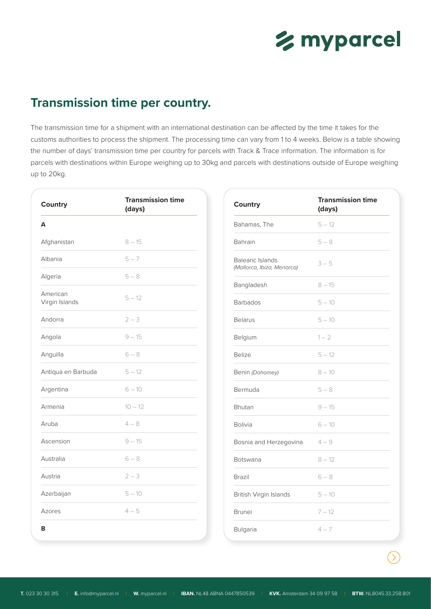

## **Transmission time per country.**

The transmission time for a shipment with an international destination can be affected by the time it takes for the customs authorities to process the shipment. The processing time can vary from 1 to 4 weeks. Below is a table showing the number of days' transmission time per country for parcels with Track & Trace information. The information is for parcels with destinations within Europe weighing up to 30kg and parcels with destinations outside of Europe weighing up to 20kg.

| Country                    | <b>Transmission time</b><br>(days) | Country                                               | <b>Transmission time</b><br>(days) |
|----------------------------|------------------------------------|-------------------------------------------------------|------------------------------------|
|                            |                                    | Bahamas, The                                          | $5 - 12$                           |
| Afghanistan                | $8 - 15$                           | Bahrain                                               | $5 - 8$                            |
| Albania                    | $5 - 7$                            | <b>Balearic Islands</b><br>(Mallorca, Ibiza, Menorca) | $3 - 5$                            |
| Algeria                    | $5 - 8$                            | Bangladesh                                            | $8 - 15$                           |
| American<br>Virgin Islands | $5 - 12$                           | <b>Barbados</b>                                       | $5 - 10$                           |
| Andorra                    | $2 - 3$                            | <b>Belarus</b>                                        | $5 - 10$                           |
| Angola                     | $9 - 15$                           | Belgium                                               | $1 - 2$                            |
| Anguilla                   | $6 - 8$                            | <b>Belize</b>                                         | $5 - 12$                           |
| Antiqua en Barbuda         | $5 - 12$                           | Benin (Dahomey)                                       | $8 - 10$                           |
| Argentina                  | $6 - 10$                           | Bermuda                                               | $5-8$                              |
| Armenia                    | $10 - 12$                          | Bhutan                                                | $9 - 15$                           |
| Aruba                      | $4 - 8$                            | <b>Bolivia</b>                                        | $6 - 10$                           |
| Ascension                  | $9 - 15$                           | Bosnia and Herzegovina                                | $4 - 9$                            |
| Australia                  | $6 - 8$                            | Botswana                                              | $8 - 12$                           |
| Austria                    | $2 - 3$                            | Brazil                                                | $6 - 8$                            |
| Azerbaijan                 | $5 - 10$                           | British Virgin Islands                                | $5 - 10$                           |
| Azores                     | $4 - 5$                            | <b>Brunei</b>                                         | $7 - 12$                           |
|                            |                                    | Bulgaria                                              | $4 - 7$                            |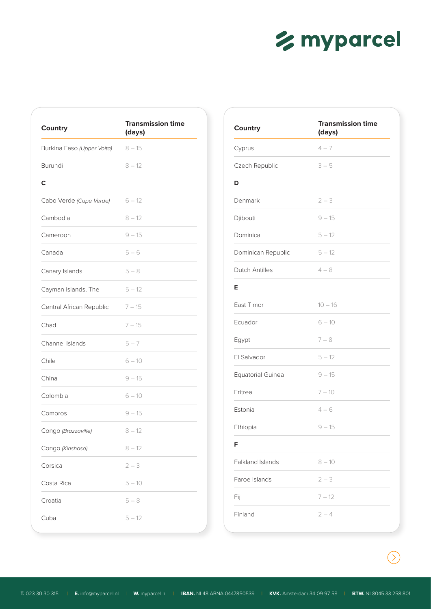

| Country                    | <b>Transmission time</b><br>(days) |
|----------------------------|------------------------------------|
| Burkina Faso (Upper Volta) | $8 - 15$                           |
| <b>Burundi</b>             | $8 - 12$                           |
| C                          |                                    |
| Cabo Verde (Cape Verde)    | $6 - 12$                           |
| Cambodia                   | $8 - 12$                           |
| Cameroon                   | $9 - 15$                           |
| Canada                     | $5 - 6$                            |
| Canary Islands             | $5 - 8$                            |
| Cayman Islands, The        | $5 - 12$                           |
| Central African Republic   | $7 - 15$                           |
| Chad                       | $7 - 15$                           |
| <b>Channel Islands</b>     | $5 - 7$                            |
| Chile                      | $6 - 10$                           |
| China                      | $9 - 15$                           |
| Colombia                   | $6 - 10$                           |
| Comoros                    | $9 - 15$                           |
| Congo (Brazzaville)        | $8 - 12$                           |
| Congo (Kinshasa)           | $8 - 12$                           |
| Corsica                    | $2 - 3$                            |
| Costa Rica                 | $5 - 10$                           |
| Croatia                    | $5 - 8$                            |
| Cuba                       | $5 - 12$                           |

| <b>Country</b>        | <b>Transmission time</b><br>(days) |
|-----------------------|------------------------------------|
| Cyprus                | $4 - 7$                            |
| Czech Republic        | $3 - 5$                            |
| D                     |                                    |
| Denmark               | $2 - 3$                            |
| Djibouti              | $9 - 15$                           |
| Dominica              | $5 - 12$                           |
| Dominican Republic    | $5 - 12$                           |
| <b>Dutch Antilles</b> | $4 - 8$                            |
| Е                     |                                    |
| East Timor            | $10 - 16$                          |
| Ecuador               | $6 - 10$                           |
| Egypt                 | $7 - 8$                            |
| El Salvador           | $5 - 12$                           |
| Equatorial Guinea     | $9 - 15$                           |
| Eritrea               | $7 - 10$                           |
| Estonia               | $4 - 6$                            |
| Ethiopia              | $9 - 15$                           |
| F                     |                                    |
| Falkland Islands      | $8 - 10$                           |
| Faroe Islands         | $2 - 3$                            |
| Fiji                  | $7 - 12$                           |
| Finland               | $2 - 4$                            |

 $\bigcirc$ 

**T.** 023 30 30 315 | **E.** info@myparcel.nl | **W.** myparcel.nl | **IBAN.** NL48 ABNA 0447850539 | **KVK.** Amsterdam 34 09 97 58 | **BTW.** NL8045.33.258.801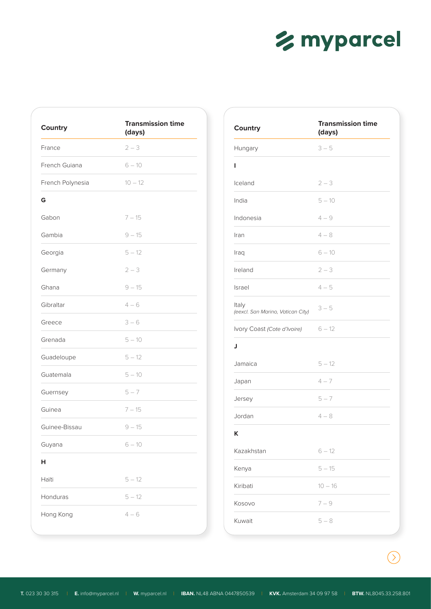## % myparcel

| Country          | <b>Transmission time</b><br>(days) |
|------------------|------------------------------------|
| France           | $2 - 3$                            |
| French Guiana    | $6 - 10$                           |
| French Polynesia | $10 - 12$                          |
| G                |                                    |
| Gabon            | $7 - 15$                           |
| Gambia           | $9 - 15$                           |
| Georgia          | $5 - 12$                           |
| Germany          | $2 - 3$                            |
| Ghana            | $9 - 15$                           |
| Gibraltar        | $4 - 6$                            |
| Greece           | $3 - 6$                            |
| Grenada          | $5 - 10$                           |
| Guadeloupe       | $5 - 12$                           |
| Guatemala        | $5 - 10$                           |
| Guernsey         | $5 - 7$                            |
| Guinea           | $7 - 15$                           |
| Guinee-Bissau    | $9 - 15$                           |
| Guyana           | $6 - 10$                           |
| н                |                                    |
| Haïti            | $5 - 12$                           |
| Honduras         | $5 - 12$                           |
| Hong Kong        | $4 - 6$                            |

| <b>Country</b>                             | <b>Transmission time</b><br>(days) |
|--------------------------------------------|------------------------------------|
| Hungary                                    | $3 - 5$                            |
| ı                                          |                                    |
| Iceland                                    | $2 - 3$                            |
| India                                      | $5 - 10$                           |
| Indonesia                                  | $4 - 9$                            |
| Iran                                       | $4 - 8$                            |
| Iraq                                       | $6 - 10$                           |
| Ireland                                    | $2 - 3$                            |
| Israel                                     | $4 - 5$                            |
| Italy<br>(eexcl. San Marino, Vatican City) | $3 - 5$                            |
| Ivory Coast (Cote d'Ivoire)                | $6 - 12$                           |
| J                                          |                                    |
| Jamaica                                    | $5 - 12$                           |
| Japan                                      | $4 - 7$                            |
| Jersey                                     | $5 - 7$                            |
| Jordan                                     | $4 - 8$                            |
| κ                                          |                                    |
| Kazakhstan                                 | $6 - 12$                           |
| Kenya                                      | $5 - 15$                           |
| Kiribati                                   | $10 - 16$                          |
| Kosovo                                     | $7 - 9$                            |
| Kuwait                                     | $5 - 8$                            |

 $\bigcirc$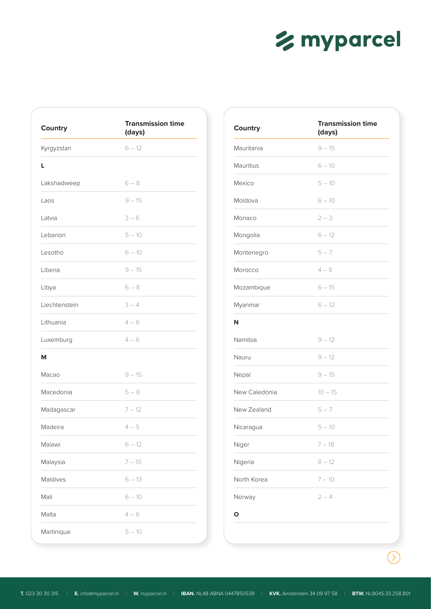

| Country       | <b>Transmission time</b><br>(days) |
|---------------|------------------------------------|
| Kyrgyzstan    | $6 - 12$                           |
| L             |                                    |
| Lakshadweep   | $6 - 8$                            |
| Laos          | $9 - 15$                           |
| Latvia        | $3 - 6$                            |
| Lebanon       | $5 - 10$                           |
| Lesotho       | $6 - 10$                           |
| Liberia       | $9 - 15$                           |
| Libya         | $6 - 8$                            |
| Liechtenstein | $3 - 4$                            |
| Lithuania     | $4 - 6$                            |
| Luxemburg     | $4 - 6$                            |
| М             |                                    |
| Macao         | $9 - 15$                           |
| Macedonia     | $5-8$                              |
| Madagascar    | $7 - 12$                           |
| Madeira       | $4 - 5$                            |
| Malawi        | $6 - 12$                           |
| Malaysia      | $7 - 10$                           |
| Maldives      | $6 - 13$                           |
| Mali          | $6 - 10$                           |
| Malta         | $4 - 6$                            |
| Martinique    | $5 - 10$                           |

| Country       | <b>Transmission time</b><br>(days) |
|---------------|------------------------------------|
| Mauritania    | $9 - 15$                           |
| Mauritius     | $6 - 10$                           |
| Mexico        | $5 - 10$                           |
| Moldova       | $6 - 10$                           |
| Monaco        | $2 - 3$                            |
| Mongolia      | $6 - 12$                           |
| Montenegro    | $5 - 7$                            |
| Morocco       | $4 - 8$                            |
| Mozambique    | $6 - 15$                           |
| Myanmar       | $6 - 12$                           |
| N             |                                    |
| Namibia       | $9 - 12$                           |
| Nauru         | $9 - 12$                           |
| Nepal         | $9 - 15$                           |
| New Caledonia | $10 - 15$                          |
| New Zealand   | $5 - 7$                            |
| Nicaragua     | $5 - 10$                           |
| Niger         | $7 - 18$                           |
| Nigeria       | $8 - 12$                           |
| North Korea   | $7 - 10$                           |
| Norway        | $2 - 4$                            |
| $\circ$       |                                    |

 $\bigcirc$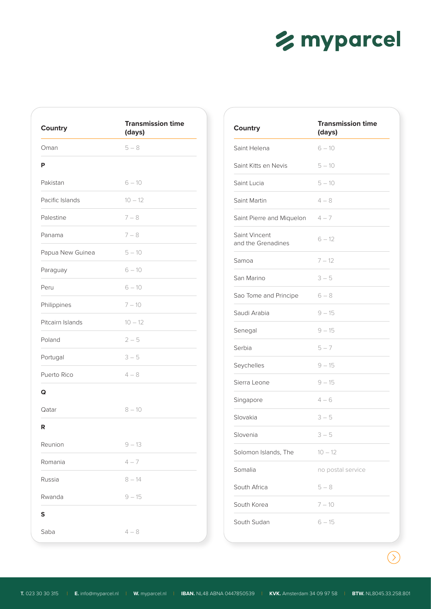

| <b>Country</b>   | <b>Transmission time</b><br>(days) |
|------------------|------------------------------------|
| Oman             | $5 - 8$                            |
| Ρ                |                                    |
| Pakistan         | $6 - 10$                           |
| Pacific Islands  | $10 - 12$                          |
| Palestine        | $7 - 8$                            |
| Panama           | $7 - 8$                            |
| Papua New Guinea | $5 - 10$                           |
| Paraguay         | $6 - 10$                           |
| Peru             | $6 - 10$                           |
| Philippines      | $7 - 10$                           |
| Pitcairn Islands | $10 - 12$                          |
| Poland           | $2 - 5$                            |
| Portugal         | $3 - 5$                            |
| Puerto Rico      | $4 - 8$                            |
| Q                |                                    |
| Qatar            | $8 - 10$                           |
| R                |                                    |
| Reunion          | $9 - 13$                           |
| Romania          | $4 - 7$                            |
| Russia           | $8 - 14$                           |
| Rwanda           | $9 - 15$                           |
| S                |                                    |
| Saba             | $4-8$                              |

| Country                             | <b>Transmission time</b><br>(days) |
|-------------------------------------|------------------------------------|
| Saint Helena                        | $6 - 10$                           |
| Saint Kitts en Nevis                | $5 - 10$                           |
| Saint Lucia                         | $5 - 10$                           |
| Saint Martin                        | $4 - 8$                            |
| Saint Pierre and Miquelon           | $4 - 7$                            |
| Saint Vincent<br>and the Grenadines | $6 - 12$                           |
| Samoa                               | $7 - 12$                           |
| San Marino                          | $3 - 5$                            |
| Sao Tome and Principe               | $6 - 8$                            |
| Saudi Arabia                        | $9 - 15$                           |
| Senegal                             | $9 - 15$                           |
| Serbia                              | $5 - 7$                            |
| Seychelles                          | $9 - 15$                           |
| Sierra Leone                        | $9 - 15$                           |
| Singapore                           | $4 - 6$                            |
| Slovakia                            | $3 - 5$                            |
| Slovenia                            | $3 - 5$                            |
| Solomon Islands, The                | $10 - 12$                          |
| Somalia                             | no postal service                  |
| South Africa                        | $5 - 8$                            |
| South Korea                         | $7 - 10$                           |
| South Sudan                         | $6 - 15$                           |

 $\bigcirc$